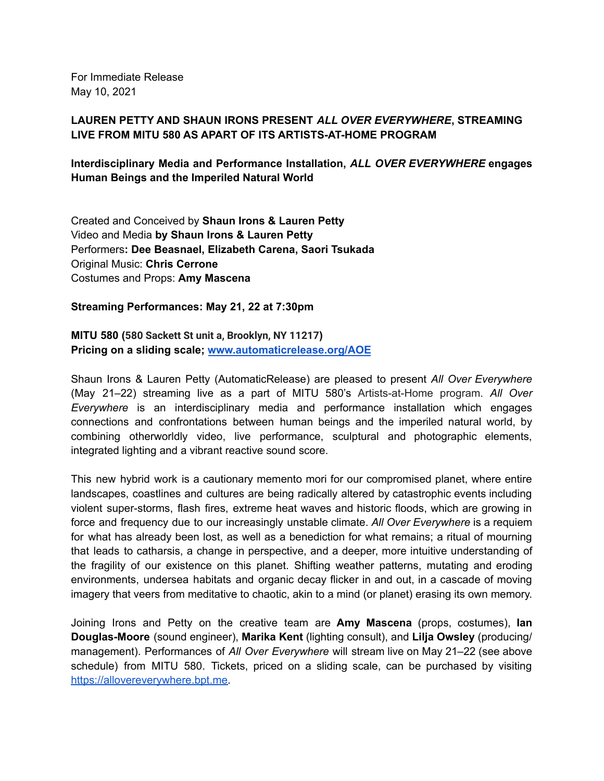For Immediate Release May 10, 2021

## **LAUREN PETTY AND SHAUN IRONS PRESENT** *ALL OVER EVERYWHERE***, STREAMING LIVE FROM MITU 580 AS APART OF ITS ARTISTS-AT-HOME PROGRAM**

**Interdisciplinary Media and Performance Installation,** *ALL OVER EVERYWHERE* **engages Human Beings and the Imperiled Natural World**

Created and Conceived by **Shaun Irons & Lauren Petty** Video and Media **by Shaun Irons & Lauren Petty** Performers**: Dee Beasnael, Elizabeth Carena, Saori Tsukada** Original Music: **Chris Cerrone** Costumes and Props: **Amy Mascena**

**Streaming Performances: May 21, 22 at 7:30pm**

**MITU 580 (580 Sackett St unit a, Brooklyn, NY 11217) Pricing on a sliding scale; [www.automaticrelease.org/AOE](http://www.automaticrelease.org/AOE)**

Shaun Irons & Lauren Petty (AutomaticRelease) are pleased to present *All Over Everywhere* (May 21–22) streaming live as a part of MITU 580's Artists-at-Home program. *All Over Everywhere* is an interdisciplinary media and performance installation which engages connections and confrontations between human beings and the imperiled natural world, by combining otherworldly video, live performance, sculptural and photographic elements, integrated lighting and a vibrant reactive sound score.

This new hybrid work is a cautionary memento mori for our compromised planet, where entire landscapes, coastlines and cultures are being radically altered by catastrophic events including violent super-storms, flash fires, extreme heat waves and historic floods, which are growing in force and frequency due to our increasingly unstable climate. *All Over Everywhere* is a requiem for what has already been lost, as well as a benediction for what remains; a ritual of mourning that leads to catharsis, a change in perspective, and a deeper, more intuitive understanding of the fragility of our existence on this planet. Shifting weather patterns, mutating and eroding environments, undersea habitats and organic decay flicker in and out, in a cascade of moving imagery that veers from meditative to chaotic, akin to a mind (or planet) erasing its own memory.

Joining Irons and Petty on the creative team are **Amy Mascena** (props, costumes), **Ian Douglas-Moore** (sound engineer), **Marika Kent** (lighting consult), and **Lilja Owsley** (producing/ management). Performances of *All Over Everywhere* will stream live on May 21–22 (see above schedule) from MITU 580. Tickets, priced on a sliding scale, can be purchased by visiting [https://allovereverywhere.bpt.me.](https://allovereverywhere.bpt.me)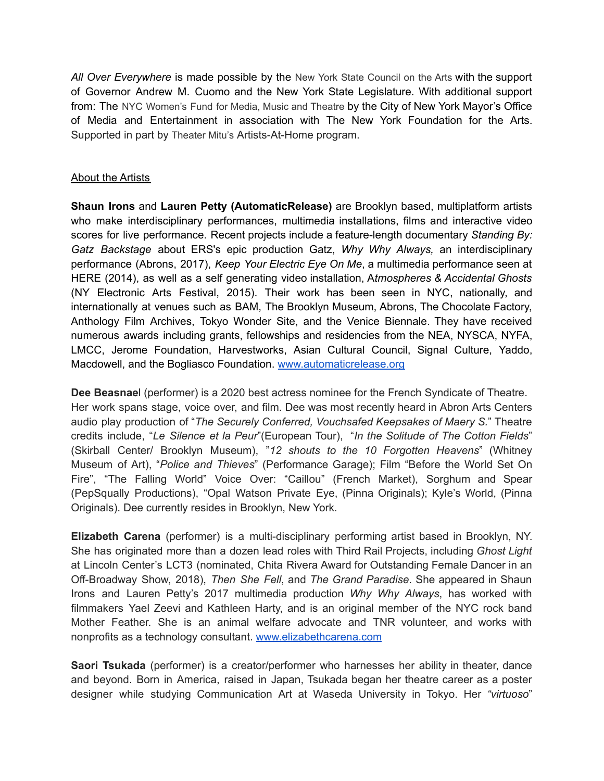*All Over Everywhere* is made possible by the New York State [Council](https://arts.ny.gov/) on the Arts with the support of Governor Andrew M. Cuomo and the New York State Legislature. With additional support from: The NYC [Women's](https://www.nyfa.org/awards-grants/nyc-womens-fund-for-media-music-and-theatre/) Fund for Media, Music and Theatre by the City of New York Mayor's Office of Media and Entertainment in association with The New York Foundation for the Arts. Supported in part by [Theater](https://theatermitu.org/space/) Mitu's Artists-At-Home program.

## About the Artists

**Shaun Irons** and **Lauren Petty (AutomaticRelease)** are Brooklyn based, multiplatform artists who make interdisciplinary performances, multimedia installations, films and interactive video scores for live performance. Recent projects include a feature-length documentary *Standing By: Gatz Backstage* about ERS's epic production Gatz, *Why Why Always,* an interdisciplinary performance (Abrons, 2017), *Keep Your Electric Eye On Me*, a multimedia performance seen at HERE (2014), as well as a self generating video installation, A*tmospheres & Accidental Ghosts* (NY Electronic Arts Festival, 2015). Their work has been seen in NYC, nationally, and internationally at venues such as BAM, The Brooklyn Museum, Abrons, The Chocolate Factory, Anthology Film Archives, Tokyo Wonder Site, and the Venice Biennale. They have received numerous awards including grants, fellowships and residencies from the NEA, NYSCA, NYFA, LMCC, Jerome Foundation, Harvestworks, Asian Cultural Council, Signal Culture, Yaddo, Macdowell, and the Bogliasco Foundation. [www.automaticrelease.org](http://www.automaticrelease.org)

**Dee Beasnae**l (performer) is a 2020 best actress nominee for the French Syndicate of Theatre. Her work spans stage, voice over, and film. Dee was most recently heard in Abron Arts Centers audio play production of "*The Securely Conferred, Vouchsafed Keepsakes of Maery S.*" Theatre credits include, "*Le Silence et la Peur*"(European Tour), "*In the Solitude of The Cotton Fields*" (Skirball Center/ Brooklyn Museum), "*12 shouts to the 10 Forgotten Heavens*" (Whitney Museum of Art), "*Police and Thieves*" (Performance Garage); Film "Before the World Set On Fire", "The Falling World" Voice Over: "Caillou" (French Market), Sorghum and Spear (PepSqually Productions), "Opal Watson Private Eye, (Pinna Originals); Kyle's World, (Pinna Originals). Dee currently resides in Brooklyn, New York.

**Elizabeth Carena** (performer) is a multi-disciplinary performing artist based in Brooklyn, NY. She has originated more than a dozen lead roles with Third Rail Projects, including *Ghost Light* at Lincoln Center's LCT3 (nominated, Chita Rivera Award for Outstanding Female Dancer in an Off-Broadway Show, 2018), *Then She Fell*, and *The Grand Paradise*. She appeared in Shaun Irons and Lauren Petty's 2017 multimedia production *Why Why Always*, has worked with filmmakers Yael Zeevi and Kathleen Harty, and is an original member of the NYC rock band Mother Feather. She is an animal welfare advocate and TNR volunteer, and works with nonprofits as a technology consultant. [www.elizabethcarena.com](http://www.elizabethcarena.com/)

**Saori Tsukada** (performer) is a creator/performer who harnesses her ability in theater, dance and beyond. Born in America, raised in Japan, Tsukada began her theatre career as a poster designer while studying Communication Art at Waseda University in Tokyo. Her *"virtuoso*"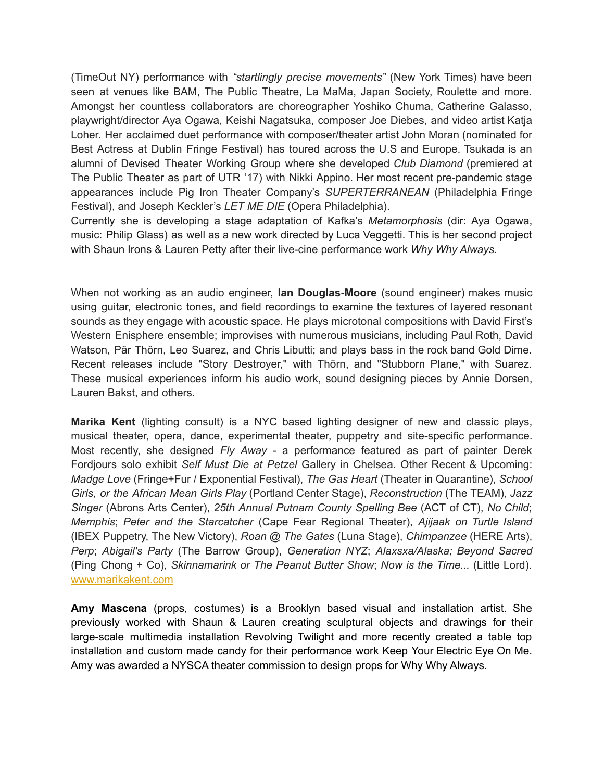(TimeOut NY) performance with *"startlingly precise movements"* (New York Times) have been seen at venues like BAM, The Public Theatre, La MaMa, Japan Society, Roulette and more. Amongst her countless collaborators are choreographer Yoshiko Chuma, Catherine Galasso, playwright/director Aya Ogawa, Keishi Nagatsuka, composer Joe Diebes, and video artist Katja Loher. Her acclaimed duet performance with composer/theater artist John Moran (nominated for Best Actress at Dublin Fringe Festival) has toured across the U.S and Europe. Tsukada is an alumni of Devised Theater Working Group where she developed *Club Diamond* (premiered at The Public Theater as part of UTR '17) with Nikki Appino. Her most recent pre-pandemic stage appearances include Pig Iron Theater Company's *SUPERTERRANEAN* (Philadelphia Fringe Festival), and Joseph Keckler's *LET ME DIE* (Opera Philadelphia).

Currently she is developing a stage adaptation of Kafka's *Metamorphosis* (dir: Aya Ogawa, music: Philip Glass) as well as a new work directed by Luca Veggetti. This is her second project with Shaun Irons & Lauren Petty after their live-cine performance work *Why Why Always.*

When not working as an audio engineer, **Ian Douglas-Moore** (sound engineer) makes music using guitar, electronic tones, and field recordings to examine the textures of layered resonant sounds as they engage with acoustic space. He plays microtonal compositions with David First's Western Enisphere ensemble; improvises with numerous musicians, including Paul Roth, David Watson, Pär Thörn, Leo Suarez, and Chris Libutti; and plays bass in the rock band Gold Dime. Recent releases include "Story Destroyer," with Thörn, and "Stubborn Plane," with Suarez. These musical experiences inform his audio work, sound designing pieces by Annie Dorsen, Lauren Bakst, and others.

**Marika Kent** (lighting consult) is a NYC based lighting designer of new and classic plays, musical theater, opera, dance, experimental theater, puppetry and site-specific performance. Most recently, she designed *Fly Away* - a performance featured as part of painter Derek Fordjours solo exhibit *Self Must Die at Petzel* Gallery in Chelsea. Other Recent & Upcoming: *Madge Love* (Fringe+Fur / Exponential Festival), *The Gas Heart* (Theater in Quarantine), *School Girls, or the African Mean Girls Play* (Portland Center Stage), *Reconstruction* (The TEAM), *Jazz Singer* (Abrons Arts Center), *25th Annual Putnam County Spelling Bee* (ACT of CT), *No Child*; *Memphis*; *Peter and the Starcatcher* (Cape Fear Regional Theater), *Ajijaak on Turtle Island* (IBEX Puppetry, The New Victory), *Roan @ The Gates* (Luna Stage), *Chimpanzee* (HERE Arts), *Perp*; *Abigail's Party* (The Barrow Group), *Generation NYZ*; *Alaxsxa/Alaska; Beyond Sacred* (Ping Chong + Co), *Skinnamarink or The Peanut Butter Show*; *Now is the Time...* (Little Lord). [www.marikakent.com](http://www.marikakent.com/)

**Amy Mascena** (props, costumes) is a Brooklyn based visual and installation artist. She previously worked with Shaun & Lauren creating sculptural objects and drawings for their large-scale multimedia installation Revolving Twilight and more recently created a table top installation and custom made candy for their performance work Keep Your Electric Eye On Me. Amy was awarded a NYSCA theater commission to design props for Why Why Always.